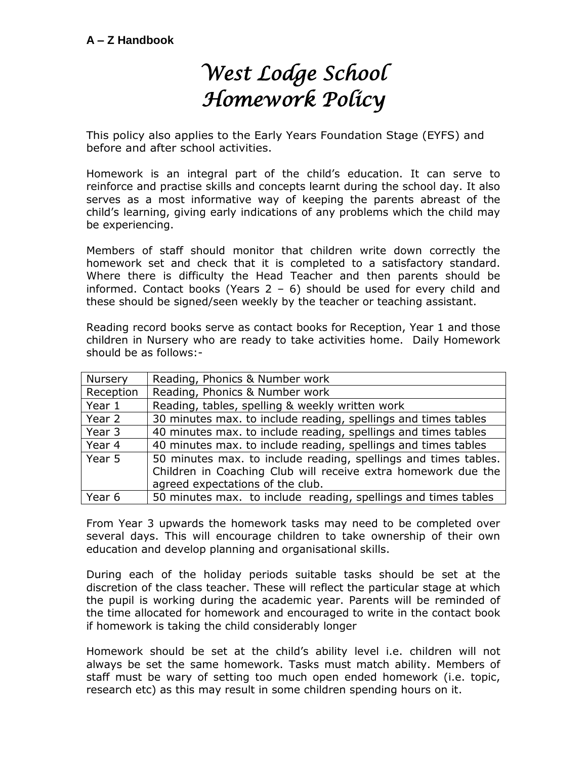## *West Lodge School Homework Policy*

This policy also applies to the Early Years Foundation Stage (EYFS) and before and after school activities.

Homework is an integral part of the child's education. It can serve to reinforce and practise skills and concepts learnt during the school day. It also serves as a most informative way of keeping the parents abreast of the child's learning, giving early indications of any problems which the child may be experiencing.

Members of staff should monitor that children write down correctly the homework set and check that it is completed to a satisfactory standard. Where there is difficulty the Head Teacher and then parents should be informed. Contact books (Years  $2 - 6$ ) should be used for every child and these should be signed/seen weekly by the teacher or teaching assistant.

Reading record books serve as contact books for Reception, Year 1 and those children in Nursery who are ready to take activities home. Daily Homework should be as follows:-

| Nursery   | Reading, Phonics & Number work                                                                                                                                       |
|-----------|----------------------------------------------------------------------------------------------------------------------------------------------------------------------|
| Reception | Reading, Phonics & Number work                                                                                                                                       |
| Year 1    | Reading, tables, spelling & weekly written work                                                                                                                      |
| Year 2    | 30 minutes max. to include reading, spellings and times tables                                                                                                       |
| Year 3    | 40 minutes max. to include reading, spellings and times tables                                                                                                       |
| Year 4    | 40 minutes max. to include reading, spellings and times tables                                                                                                       |
| Year 5    | 50 minutes max. to include reading, spellings and times tables.<br>Children in Coaching Club will receive extra homework due the<br>agreed expectations of the club. |
| Year 6    | 50 minutes max. to include reading, spellings and times tables                                                                                                       |

From Year 3 upwards the homework tasks may need to be completed over several days. This will encourage children to take ownership of their own education and develop planning and organisational skills.

During each of the holiday periods suitable tasks should be set at the discretion of the class teacher. These will reflect the particular stage at which the pupil is working during the academic year. Parents will be reminded of the time allocated for homework and encouraged to write in the contact book if homework is taking the child considerably longer

Homework should be set at the child's ability level i.e. children will not always be set the same homework. Tasks must match ability. Members of staff must be wary of setting too much open ended homework (i.e. topic, research etc) as this may result in some children spending hours on it.